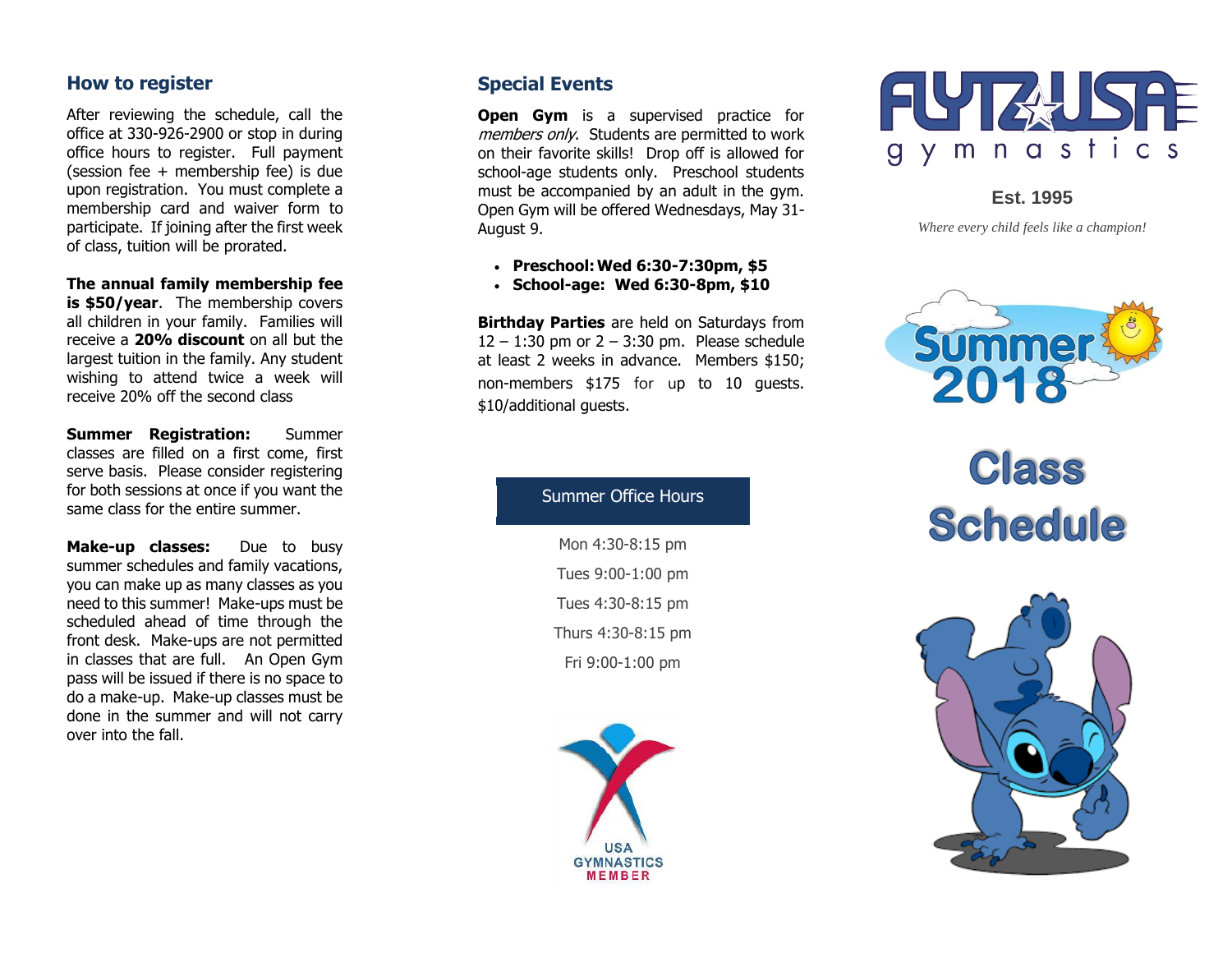#### **How to register**

After reviewing the schedule, call the office at 330 -926 -2900 or stop in during office hours to register. Full payment (session fee + membership fee) is due upon registration. You must complete a membership card and waiver form to participate. If joining after the first week of class, tuition will be prorated.

**The annual family membership fee is \$50/year.** The membership covers all children in your family. Families will receive a **20% discount** on all but the largest tuition in the family. Any student wishing to attend twice a week will receive 20% off the second class

**Summer Registration:** Summer classes are filled on a first come, first serve basis. Please consider registering for both sessions at once if you want the same class for the entire summer.

**Make** Due to busy summer schedules and family vacations, you can make up as many classes as you need to this summer! Make -ups must be scheduled ahead of time through the front desk. Make -ups are not permitted in classes that are full. An Open Gym pass will be issued if there is no space to do a make -up. Make -up classes must be done in the summer and will not carry over into the fall.

#### **Special Events**

**Open Gym** is a supervised practice for members only. Students are permitted to work on their favorite skills! Drop off is allowed for school -age students only. Preschool students must be accompanied by an adult in the gym. Open Gym will be offered Wednesdays, May 31 - August 9.

- **Preschool:Wed 6:30 -7:30pm, \$ 5**
- **School -age: Wed 6:30 -8pm, \$10**

**Birthday Parties** are held on Saturdays from  $12 - 1:30$  pm or  $2 - 3:30$  pm. Please schedule at least 2 weeks in advance. Members \$1 5 0 ; non -members \$175 for up to 10 guests. \$10/additional guests.



**Est. 1995**

*Where every child feels like a champion!*



# Class **Schedule**



#### Summer Office Hours

Mon 4:30 -8:15 pm Tues 9:00 -1:00 pm Tues 4:30 -8:15 pm Thurs 4:30 -8:15 pm Fri 9:00 -1:00 pm